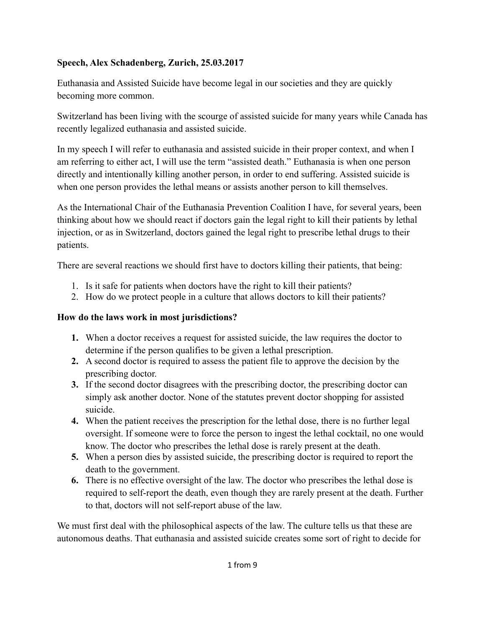#### **Speech, Alex Schadenberg, Zurich, 25.03.2017**

Euthanasia and Assisted Suicide have become legal in our societies and they are quickly becoming more common.

Switzerland has been living with the scourge of assisted suicide for many years while Canada has recently legalized euthanasia and assisted suicide.

In my speech I will refer to euthanasia and assisted suicide in their proper context, and when I am referring to either act, I will use the term "assisted death." Euthanasia is when one person directly and intentionally killing another person, in order to end suffering. Assisted suicide is when one person provides the lethal means or assists another person to kill themselves.

As the International Chair of the Euthanasia Prevention Coalition I have, for several years, been thinking about how we should react if doctors gain the legal right to kill their patients by lethal injection, or as in Switzerland, doctors gained the legal right to prescribe lethal drugs to their patients.

There are several reactions we should first have to doctors killing their patients, that being:

- 1. Is it safe for patients when doctors have the right to kill their patients?
- 2. How do we protect people in a culture that allows doctors to kill their patients?

## **How do the laws work in most jurisdictions?**

- **1.** When a doctor receives a request for assisted suicide, the law requires the doctor to determine if the person qualifies to be given a lethal prescription.
- **2.** A second doctor is required to assess the patient file to approve the decision by the prescribing doctor.
- **3.** If the second doctor disagrees with the prescribing doctor, the prescribing doctor can simply ask another doctor. None of the statutes prevent doctor shopping for assisted suicide.
- **4.** When the patient receives the prescription for the lethal dose, there is no further legal oversight. If someone were to force the person to ingest the lethal cocktail, no one would know. The doctor who prescribes the lethal dose is rarely present at the death.
- **5.** When a person dies by assisted suicide, the prescribing doctor is required to report the death to the government.
- **6.** There is no effective oversight of the law. The doctor who prescribes the lethal dose is required to self-report the death, even though they are rarely present at the death. Further to that, doctors will not self-report abuse of the law.

We must first deal with the philosophical aspects of the law. The culture tells us that these are autonomous deaths. That euthanasia and assisted suicide creates some sort of right to decide for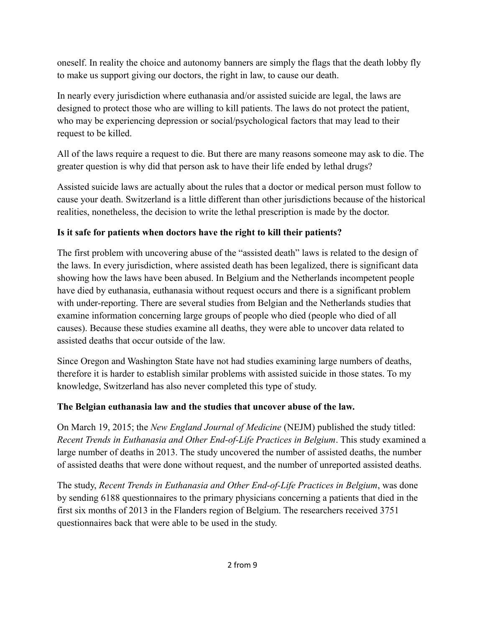oneself. In reality the choice and autonomy banners are simply the flags that the death lobby fly to make us support giving our doctors, the right in law, to cause our death.

In nearly every jurisdiction where euthanasia and/or assisted suicide are legal, the laws are designed to protect those who are willing to kill patients. The laws do not protect the patient, who may be experiencing depression or social/psychological factors that may lead to their request to be killed.

All of the laws require a request to die. But there are many reasons someone may ask to die. The greater question is why did that person ask to have their life ended by lethal drugs?

Assisted suicide laws are actually about the rules that a doctor or medical person must follow to cause your death. Switzerland is a little different than other jurisdictions because of the historical realities, nonetheless, the decision to write the lethal prescription is made by the doctor.

# **Is it safe for patients when doctors have the right to kill their patients?**

The first problem with uncovering abuse of the "assisted death" laws is related to the design of the laws. In every jurisdiction, where assisted death has been legalized, there is significant data showing how the laws have been abused. In Belgium and the Netherlands incompetent people have died by euthanasia, euthanasia without request occurs and there is a significant problem with under-reporting. There are several studies from Belgian and the Netherlands studies that examine information concerning large groups of people who died (people who died of all causes). Because these studies examine all deaths, they were able to uncover data related to assisted deaths that occur outside of the law.

Since Oregon and Washington State have not had studies examining large numbers of deaths, therefore it is harder to establish similar problems with assisted suicide in those states. To my knowledge, Switzerland has also never completed this type of study.

## **The Belgian euthanasia law and the studies that uncover abuse of the law.**

On March 19, 2015; the *New England Journal of Medicine* (NEJM) published the study titled: *Recent Trends in Euthanasia and Other End-of-Life Practices in Belgium*. This study examined a large number of deaths in 2013. The study uncovered the number of assisted deaths, the number of assisted deaths that were done without request, and the number of unreported assisted deaths.

The study, *Recent Trends in Euthanasia and Other End-of-Life Practices in Belgium*, was done by sending 6188 questionnaires to the primary physicians concerning a patients that died in the first six months of 2013 in the Flanders region of Belgium. The researchers received 3751 questionnaires back that were able to be used in the study.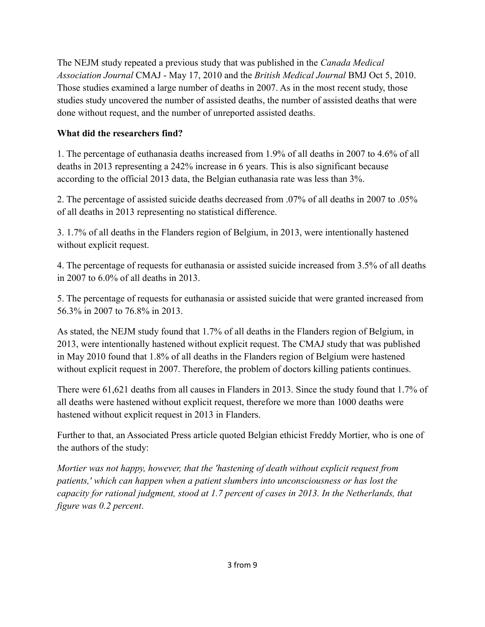The NEJM study repeated a previous study that was published in the *Canada Medical Association Journal* CMAJ - May 17, 2010 and the *British Medical Journal* BMJ Oct 5, 2010. Those studies examined a large number of deaths in 2007. As in the most recent study, those studies study uncovered the number of assisted deaths, the number of assisted deaths that were done without request, and the number of unreported assisted deaths.

### **What did the researchers find?**

1. The percentage of euthanasia deaths increased from 1.9% of all deaths in 2007 to 4.6% of all deaths in 2013 representing a 242% increase in 6 years. This is also significant because according to the official 2013 data, the Belgian euthanasia rate was less than 3%.

2. The percentage of assisted suicide deaths decreased from .07% of all deaths in 2007 to .05% of all deaths in 2013 representing no statistical difference.

3. 1.7% of all deaths in the Flanders region of Belgium, in 2013, were intentionally hastened without explicit request.

4. The percentage of requests for euthanasia or assisted suicide increased from 3.5% of all deaths in 2007 to 6.0% of all deaths in 2013.

5. The percentage of requests for euthanasia or assisted suicide that were granted increased from 56.3% in 2007 to 76.8% in 2013.

As stated, the NEJM study found that 1.7% of all deaths in the Flanders region of Belgium, in 2013, were intentionally hastened without explicit request. The CMAJ study that was published in May 2010 found that 1.8% of all deaths in the Flanders region of Belgium were hastened without explicit request in 2007. Therefore, the problem of doctors killing patients continues.

There were 61,621 deaths from all causes in Flanders in 2013. Since the study found that 1.7% of all deaths were hastened without explicit request, therefore we more than 1000 deaths were hastened without explicit request in 2013 in Flanders.

Further to that, an Associated Press article quoted Belgian ethicist Freddy Mortier, who is one of the authors of the study:

*Mortier was not happy, however, that the 'hastening of death without explicit request from patients,' which can happen when a patient slumbers into unconsciousness or has lost the capacity for rational judgment, stood at 1.7 percent of cases in 2013. In the Netherlands, that figure was 0.2 percent*.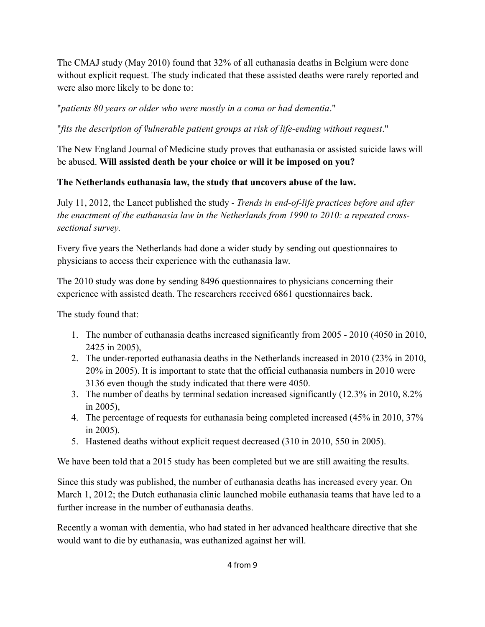The CMAJ study (May 2010) found that 32% of all euthanasia deaths in Belgium were done without explicit request. The study indicated that these assisted deaths were rarely reported and were also more likely to be done to:

"*patients 80 years or older who were mostly in a coma or had dementia*."

"*fits the description of "vulnerable patient groups at risk of life-ending without request*."

The New England Journal of Medicine study proves that euthanasia or assisted suicide laws will be abused. **Will assisted death be your choice or will it be imposed on you?**

## **The Netherlands euthanasia law, the study that uncovers abuse of the law.**

July 11, 2012, the Lancet published the study - *Trends in end-of-life practices before and after the enactment of the euthanasia law in the Netherlands from 1990 to 2010: a repeated crosssectional survey*.

Every five years the Netherlands had done a wider study by sending out questionnaires to physicians to access their experience with the euthanasia law.

The 2010 study was done by sending 8496 questionnaires to physicians concerning their experience with assisted death. The researchers received 6861 questionnaires back.

The study found that:

- 1. The number of euthanasia deaths increased significantly from 2005 2010 (4050 in 2010, 2425 in 2005),
- 2. The under-reported euthanasia deaths in the Netherlands increased in 2010 (23% in 2010, 20% in 2005). It is important to state that the official euthanasia numbers in 2010 were 3136 even though the study indicated that there were 4050.
- 3. The number of deaths by terminal sedation increased significantly (12.3% in 2010, 8.2% in 2005),
- 4. The percentage of requests for euthanasia being completed increased (45% in 2010, 37% in 2005).
- 5. Hastened deaths without explicit request decreased (310 in 2010, 550 in 2005).

We have been told that a 2015 study has been completed but we are still awaiting the results.

Since this study was published, the number of euthanasia deaths has increased every year. On March 1, 2012; the Dutch euthanasia clinic launched mobile euthanasia teams that have led to a further increase in the number of euthanasia deaths.

Recently a woman with dementia, who had stated in her advanced healthcare directive that she would want to die by euthanasia, was euthanized against her will.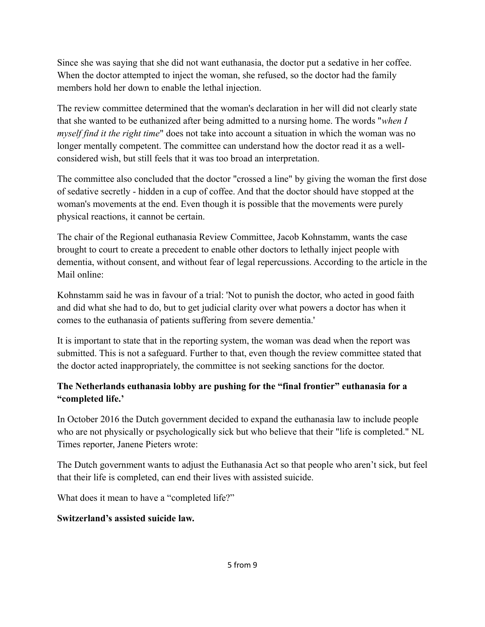Since she was saying that she did not want euthanasia, the doctor put a sedative in her coffee. When the doctor attempted to inject the woman, she refused, so the doctor had the family members hold her down to enable the lethal injection.

The review committee determined that the woman's declaration in her will did not clearly state that she wanted to be euthanized after being admitted to a nursing home. The words "*when I myself find it the right time*" does not take into account a situation in which the woman was no longer mentally competent. The committee can understand how the doctor read it as a wellconsidered wish, but still feels that it was too broad an interpretation.

The committee also concluded that the doctor "crossed a line" by giving the woman the first dose of sedative secretly - hidden in a cup of coffee. And that the doctor should have stopped at the woman's movements at the end. Even though it is possible that the movements were purely physical reactions, it cannot be certain.

The chair of the Regional euthanasia Review Committee, Jacob Kohnstamm, wants the case brought to court to create a precedent to enable other doctors to lethally inject people with dementia, without consent, and without fear of legal repercussions. According to the article in the Mail online:

Kohnstamm said he was in favour of a trial: 'Not to punish the doctor, who acted in good faith and did what she had to do, but to get judicial clarity over what powers a doctor has when it comes to the euthanasia of patients suffering from severe dementia.'

It is important to state that in the reporting system, the woman was dead when the report was submitted. This is not a safeguard. Further to that, even though the review committee stated that the doctor acted inappropriately, the committee is not seeking sanctions for the doctor.

#### **The Netherlands euthanasia lobby are pushing for the "final frontier" euthanasia for a "completed life.'**

In October 2016 the Dutch government decided to expand the euthanasia law to include people who are not physically or psychologically sick but who believe that their "life is completed." NL Times reporter, Janene Pieters wrote:

The Dutch government wants to adjust the Euthanasia Act so that people who aren't sick, but feel that their life is completed, can end their lives with assisted suicide.

What does it mean to have a "completed life?"

#### **Switzerland's assisted suicide law.**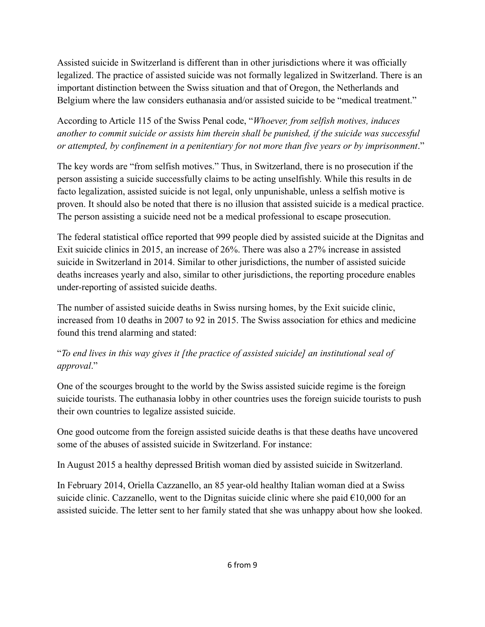Assisted suicide in Switzerland is different than in other jurisdictions where it was officially legalized. The practice of assisted suicide was not formally legalized in Switzerland. There is an important distinction between the Swiss situation and that of Oregon, the Netherlands and Belgium where the law considers euthanasia and/or assisted suicide to be "medical treatment."

According to Article 115 of the Swiss Penal code, "*Whoever, from selfish motives, induces another to commit suicide or assists him therein shall be punished, if the suicide was successful or attempted, by confinement in a penitentiary for not more than five years or by imprisonment*."

The key words are "from selfish motives." Thus, in Switzerland, there is no prosecution if the person assisting a suicide successfully claims to be acting unselfishly. While this results in de facto legalization, assisted suicide is not legal, only unpunishable, unless a selfish motive is proven. It should also be noted that there is no illusion that assisted suicide is a medical practice. The person assisting a suicide need not be a medical professional to escape prosecution.

The federal statistical office reported that 999 people died by assisted suicide at the Dignitas and Exit suicide clinics in 2015, an increase of 26%. There was also a 27% increase in assisted suicide in Switzerland in 2014. Similar to other jurisdictions, the number of assisted suicide deaths increases yearly and also, similar to other jurisdictions, the reporting procedure enables under-reporting of assisted suicide deaths.

The number of assisted suicide deaths in Swiss nursing homes, by the Exit suicide clinic, increased from 10 deaths in 2007 to 92 in 2015. The Swiss association for ethics and medicine found this trend alarming and stated:

# "*To end lives in this way gives it [the practice of assisted suicide] an institutional seal of approval*."

One of the scourges brought to the world by the Swiss assisted suicide regime is the foreign suicide tourists. The euthanasia lobby in other countries uses the foreign suicide tourists to push their own countries to legalize assisted suicide.

One good outcome from the foreign assisted suicide deaths is that these deaths have uncovered some of the abuses of assisted suicide in Switzerland. For instance:

In August 2015 a healthy depressed British woman died by assisted suicide in Switzerland.

In February 2014, Oriella Cazzanello, an 85 year-old healthy Italian woman died at a Swiss suicide clinic. Cazzanello, went to the Dignitas suicide clinic where she paid  $\epsilon$ 10,000 for an assisted suicide. The letter sent to her family stated that she was unhappy about how she looked.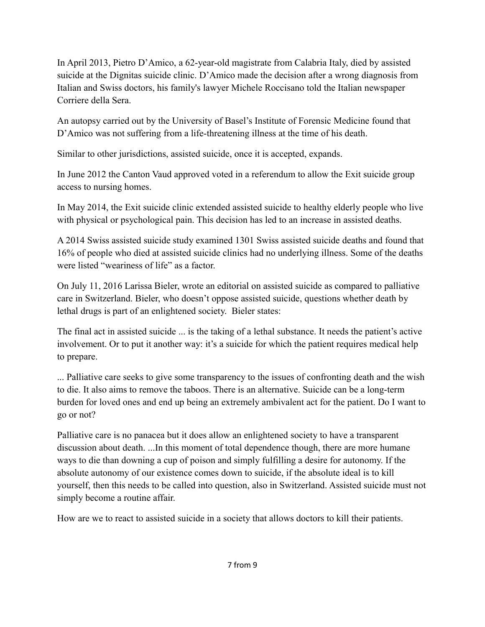In April 2013, Pietro D'Amico, a 62-year-old magistrate from Calabria Italy, died by assisted suicide at the Dignitas suicide clinic. D'Amico made the decision after a wrong diagnosis from Italian and Swiss doctors, his family's lawyer Michele Roccisano told the Italian newspaper Corriere della Sera.

An autopsy carried out by the University of Basel's Institute of Forensic Medicine found that D'Amico was not suffering from a life-threatening illness at the time of his death.

Similar to other jurisdictions, assisted suicide, once it is accepted, expands.

In June 2012 the Canton Vaud approved voted in a referendum to allow the Exit suicide group access to nursing homes.

In May 2014, the Exit suicide clinic extended assisted suicide to healthy elderly people who live with physical or psychological pain. This decision has led to an increase in assisted deaths.

A 2014 Swiss assisted suicide study examined 1301 Swiss assisted suicide deaths and found that 16% of people who died at assisted suicide clinics had no underlying illness. Some of the deaths were listed "weariness of life" as a factor.

On July 11, 2016 Larissa Bieler, wrote an editorial on assisted suicide as compared to palliative care in Switzerland. Bieler, who doesn't oppose assisted suicide, questions whether death by lethal drugs is part of an enlightened society. Bieler states:

The final act in assisted suicide ... is the taking of a lethal substance. It needs the patient's active involvement. Or to put it another way: it's a suicide for which the patient requires medical help to prepare.

... Palliative care seeks to give some transparency to the issues of confronting death and the wish to die. It also aims to remove the taboos. There is an alternative. Suicide can be a long-term burden for loved ones and end up being an extremely ambivalent act for the patient. Do I want to go or not?

Palliative care is no panacea but it does allow an enlightened society to have a transparent discussion about death. ...In this moment of total dependence though, there are more humane ways to die than downing a cup of poison and simply fulfilling a desire for autonomy. If the absolute autonomy of our existence comes down to suicide, if the absolute ideal is to kill yourself, then this needs to be called into question, also in Switzerland. Assisted suicide must not simply become a routine affair.

How are we to react to assisted suicide in a society that allows doctors to kill their patients.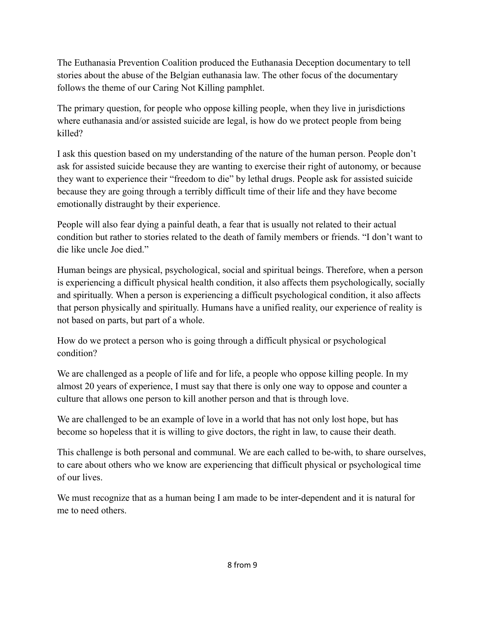The Euthanasia Prevention Coalition produced the Euthanasia Deception documentary to tell stories about the abuse of the Belgian euthanasia law. The other focus of the documentary follows the theme of our Caring Not Killing pamphlet.

The primary question, for people who oppose killing people, when they live in jurisdictions where euthanasia and/or assisted suicide are legal, is how do we protect people from being killed?

I ask this question based on my understanding of the nature of the human person. People don't ask for assisted suicide because they are wanting to exercise their right of autonomy, or because they want to experience their "freedom to die" by lethal drugs. People ask for assisted suicide because they are going through a terribly difficult time of their life and they have become emotionally distraught by their experience.

People will also fear dying a painful death, a fear that is usually not related to their actual condition but rather to stories related to the death of family members or friends. "I don't want to die like uncle Joe died."

Human beings are physical, psychological, social and spiritual beings. Therefore, when a person is experiencing a difficult physical health condition, it also affects them psychologically, socially and spiritually. When a person is experiencing a difficult psychological condition, it also affects that person physically and spiritually. Humans have a unified reality, our experience of reality is not based on parts, but part of a whole.

How do we protect a person who is going through a difficult physical or psychological condition?

We are challenged as a people of life and for life, a people who oppose killing people. In my almost 20 years of experience, I must say that there is only one way to oppose and counter a culture that allows one person to kill another person and that is through love.

We are challenged to be an example of love in a world that has not only lost hope, but has become so hopeless that it is willing to give doctors, the right in law, to cause their death.

This challenge is both personal and communal. We are each called to be-with, to share ourselves, to care about others who we know are experiencing that difficult physical or psychological time of our lives.

We must recognize that as a human being I am made to be inter-dependent and it is natural for me to need others.